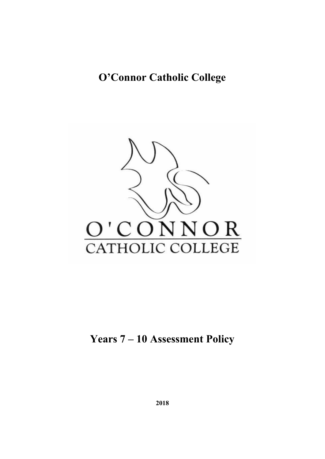# **O'Connor Catholic College**



**Years 7 – 10 Assessment Policy**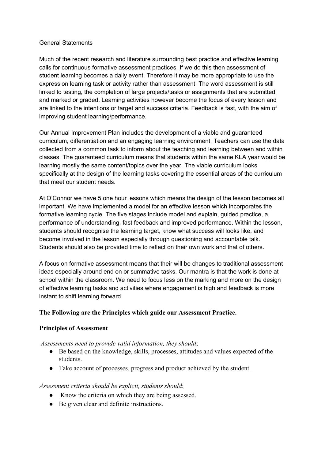#### General Statements

Much of the recent research and literature surrounding best practice and effective learning calls for continuous formative assessment practices. If we do this then assessment of student learning becomes a daily event. Therefore it may be more appropriate to use the expression learning task or activity rather than assessment. The word assessment is still linked to testing, the completion of large projects/tasks or assignments that are submitted and marked or graded. Learning activities however become the focus of every lesson and are linked to the intentions or target and success criteria. Feedback is fast, with the aim of improving student learning/performance.

Our Annual Improvement Plan includes the development of a viable and guaranteed curriculum, differentiation and an engaging learning environment. Teachers can use the data collected from a common task to inform about the teaching and learning between and within classes. The guaranteed curriculum means that students within the same KLA year would be learning mostly the same content/topics over the year. The viable curriculum looks specifically at the design of the learning tasks covering the essential areas of the curriculum that meet our student needs.

At O'Connor we have 5 one hour lessons which means the design of the lesson becomes all important. We have implemented a model for an effective lesson which incorporates the formative learning cycle. The five stages include model and explain, guided practice, a performance of understanding, fast feedback and improved performance. Within the lesson, students should recognise the learning target, know what success will looks like, and become involved in the lesson especially through questioning and accountable talk. Students should also be provided time to reflect on their own work and that of others.

A focus on formative assessment means that their will be changes to traditional assessment ideas especially around end on or summative tasks. Our mantra is that the work is done at school within the classroom. We need to focus less on the marking and more on the design of effective learning tasks and activities where engagement is high and feedback is more instant to shift learning forward.

# **The Following are the Principles which guide our Assessment Practice.**

# **Principles of Assessment**

*Assessments need to provide valid information, they should*;

- Be based on the knowledge, skills, processes, attitudes and values expected of the students.
- Take account of processes, progress and product achieved by the student.

# *Assessment criteria should be explicit, students should*;

- Know the criteria on which they are being assessed.
- Be given clear and definite instructions.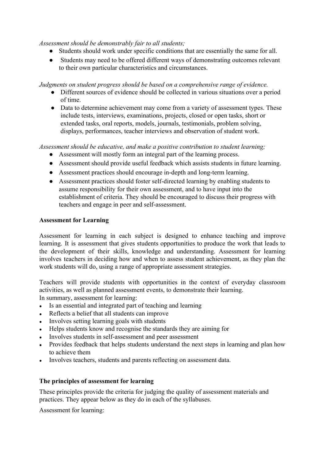*Assessment should be demonstrably fair to all students;*

- Students should work under specific conditions that are essentially the same for all.
- Students may need to be offered different ways of demonstrating outcomes relevant to their own particular characteristics and circumstances.

*Judgments on student progress should be based on a comprehensive range of evidence.*

- Different sources of evidence should be collected in various situations over a period of time.
- Data to determine achievement may come from a variety of assessment types. These include tests, interviews, examinations, projects, closed or open tasks, short or extended tasks, oral reports, models, journals, testimonials, problem solving, displays, performances, teacher interviews and observation of student work.

*Assessment should be educative, and make a positive contribution to student learning;*

- Assessment will mostly form an integral part of the learning process.
- Assessment should provide useful feedback which assists students in future learning.
- Assessment practices should encourage in-depth and long-term learning.
- Assessment practices should foster self-directed learning by enabling students to assume responsibility for their own assessment, and to have input into the establishment of criteria. They should be encouraged to discuss their progress with teachers and engage in peer and self-assessment.

# **Assessment for Learning**

Assessment for learning in each subject is designed to enhance teaching and improve learning. It is assessment that gives students opportunities to produce the work that leads to the development of their skills, knowledge and understanding. Assessment for learning involves teachers in deciding how and when to assess student achievement, as they plan the work students will do, using a range of appropriate assessment strategies.

Teachers will provide students with opportunities in the context of everyday classroom activities, as well as planned assessment events, to demonstrate their learning. In summary, assessment for learning:

- Is an essential and integrated part of teaching and learning
- Reflects a belief that all students can improve
- Involves setting learning goals with students
- Helps students know and recognise the standards they are aiming for
- Involves students in self-assessment and peer assessment
- Provides feedback that helps students understand the next steps in learning and plan how to achieve them
- Involves teachers, students and parents reflecting on assessment data.

# **The principles of assessment for learning**

These principles provide the criteria for judging the quality of assessment materials and practices. They appear below as they do in each of the syllabuses.

Assessment for learning: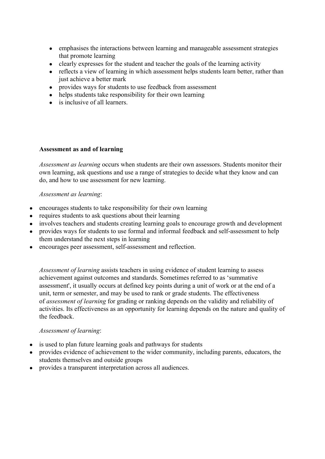- emphasises the interactions between learning and manageable assessment strategies that promote learning
- clearly expresses for the student and teacher the goals of the learning activity
- reflects a view of learning in which assessment helps students learn better, rather than just achieve a better mark
- provides ways for students to use feedback from assessment
- helps students take responsibility for their own learning
- is inclusive of all learners.

# **Assessment as and of learning**

*Assessment as learning* occurs when students are their own assessors. Students monitor their own learning, ask questions and use a range of strategies to decide what they know and can do, and how to use assessment for new learning.

#### *Assessment as learning*:

- encourages students to take responsibility for their own learning
- requires students to ask questions about their learning
- involves teachers and students creating learning goals to encourage growth and development
- provides ways for students to use formal and informal feedback and self-assessment to help them understand the next steps in learning
- encourages peer assessment, self-assessment and reflection.

*Assessment of learning* assists teachers in using evidence of student learning to assess achievement against outcomes and standards. Sometimes referred to as 'summative assessment', it usually occurs at defined key points during a unit of work or at the end of a unit, term or semester, and may be used to rank or grade students. The effectiveness of *assessment of learning* for grading or ranking depends on the validity and reliability of activities. Its effectiveness as an opportunity for learning depends on the nature and quality of the feedback.

# *Assessment of learning*:

- is used to plan future learning goals and pathways for students
- provides evidence of achievement to the wider community, including parents, educators, the students themselves and outside groups
- provides a transparent interpretation across all audiences.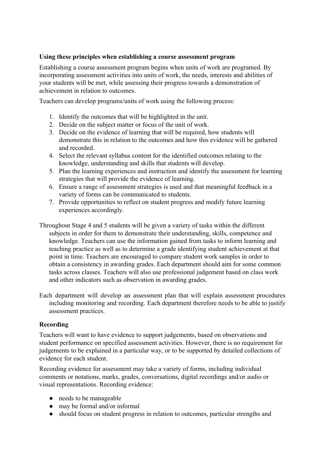## **Using these principles when establishing a course assessment program**

Establishing a course assessment program begins when units of work are programed. By incorporating assessment activities into units of work, the needs, interests and abilities of your students will be met, while assessing their progress towards a demonstration of achievement in relation to outcomes.

Teachers can develop programs/units of work using the following process:

- 1. Identify the outcomes that will be highlighted in the unit.
- 2. Decide on the subject matter or focus of the unit of work.
- 3. Decide on the evidence of learning that will be required, how students will demonstrate this in relation to the outcomes and how this evidence will be gathered and recorded.
- 4. Select the relevant syllabus content for the identified outcomes relating to the knowledge, understanding and skills that students will develop.
- 5. Plan the learning experiences and instruction and identify the assessment for learning strategies that will provide the evidence of learning.
- 6. Ensure a range of assessment strategies is used and that meaningful feedback in a variety of forms can be communicated to students.
- 7. Provide opportunities to reflect on student progress and modify future learning experiences accordingly.
- Throughout Stage 4 and 5 students will be given a variety of tasks within the different subjects in order for them to demonstrate their understanding, skills, competence and knowledge. Teachers can use the information gained from tasks to inform learning and teaching practice as well as to determine a grade identifying student achievement at that point in time. Teachers are encouraged to compare student work samples in order to obtain a consistency in awarding grades. Each department should aim for some common tasks across classes. Teachers will also use professional judgement based on class work and other indicators such as observation in awarding grades.
- Each department will develop an assessment plan that will explain assessment procedures including monitoring and recording. Each department therefore needs to be able to justify assessment practices.

# **Recording**

Teachers will want to have evidence to support judgements, based on observations and student performance on specified assessment activities. However, there is no requirement for judgements to be explained in a particular way, or to be supported by detailed collections of evidence for each student.

Recording evidence for assessment may take a variety of forms, including individual comments or notations, marks, grades, conversations, digital recordings and/or audio or visual representations. Recording evidence:

- needs to be manageable
- may be formal and/or informal
- should focus on student progress in relation to outcomes, particular strengths and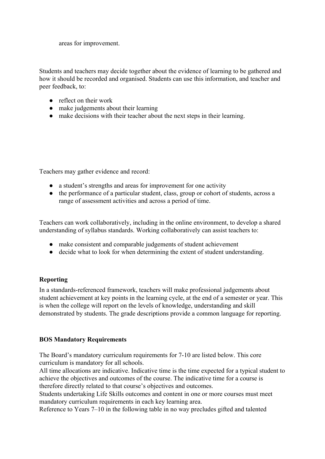areas for improvement.

Students and teachers may decide together about the evidence of learning to be gathered and how it should be recorded and organised. Students can use this information, and teacher and peer feedback, to:

- reflect on their work
- make judgements about their learning
- make decisions with their teacher about the next steps in their learning.

Teachers may gather evidence and record:

- a student's strengths and areas for improvement for one activity
- the performance of a particular student, class, group or cohort of students, across a range of assessment activities and across a period of time.

Teachers can work collaboratively, including in the online environment, to develop a shared understanding of syllabus standards. Working collaboratively can assist teachers to:

- make consistent and comparable judgements of student achievement
- decide what to look for when determining the extent of student understanding.

# **Reporting**

In a standards-referenced framework, teachers will make professional judgements about student achievement at key points in the learning cycle, at the end of a semester or year. This is when the college will report on the levels of knowledge, understanding and skill demonstrated by students. The grade descriptions provide a common language for reporting.

# **BOS Mandatory Requirements**

The Board's mandatory curriculum requirements for 7-10 are listed below. This core curriculum is mandatory for all schools.

All time allocations are indicative. Indicative time is the time expected for a typical student to achieve the objectives and outcomes of the course. The indicative time for a course is therefore directly related to that course's objectives and outcomes.

Students undertaking Life Skills outcomes and content in one or more courses must meet mandatory curriculum requirements in each key learning area.

Reference to Years 7–10 in the following table in no way precludes gifted and talented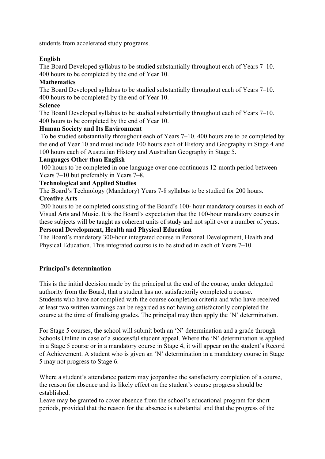students from accelerated study programs.

# **English**

The Board Developed syllabus to be studied substantially throughout each of Years 7–10. 400 hours to be completed by the end of Year 10.

# **Mathematics**

The Board Developed syllabus to be studied substantially throughout each of Years 7–10. 400 hours to be completed by the end of Year 10.

# **Science**

The Board Developed syllabus to be studied substantially throughout each of Years 7–10. 400 hours to be completed by the end of Year 10.

# **Human Society and Its Environment**

To be studied substantially throughout each of Years 7–10. 400 hours are to be completed by the end of Year 10 and must include 100 hours each of History and Geography in Stage 4 and 100 hours each of Australian History and Australian Geography in Stage 5.

# **Languages Other than English**

100 hours to be completed in one language over one continuous 12-month period between Years 7–10 but preferably in Years 7–8.

# **Technological and Applied Studies**

The Board's Technology (Mandatory) Years 7-8 syllabus to be studied for 200 hours. **Creative Arts**

200 hours to be completed consisting of the Board's 100- hour mandatory courses in each of Visual Arts and Music. It is the Board's expectation that the 100-hour mandatory courses in these subjects will be taught as coherent units of study and not split over a number of years. **Personal Development, Health and Physical Education**

The Board's mandatory 300-hour integrated course in Personal Development, Health and Physical Education. This integrated course is to be studied in each of Years 7–10.

# **Principal's determination**

This is the initial decision made by the principal at the end of the course, under delegated authority from the Board, that a student has not satisfactorily completed a course. Students who have not complied with the course completion criteria and who have received at least two written warnings can be regarded as not having satisfactorily completed the course at the time of finalising grades. The principal may then apply the 'N' determination.

For Stage 5 courses, the school will submit both an 'N' determination and a grade through Schools Online in case of a successful student appeal. Where the 'N' determination is applied in a Stage 5 course or in a mandatory course in Stage 4, it will appear on the student's Record of Achievement. A student who is given an 'N' determination in a mandatory course in Stage 5 may not progress to Stage 6.

Where a student's attendance pattern may jeopardise the satisfactory completion of a course, the reason for absence and its likely effect on the student's course progress should be established.

Leave may be granted to cover absence from the school's educational program for short periods, provided that the reason for the absence is substantial and that the progress of the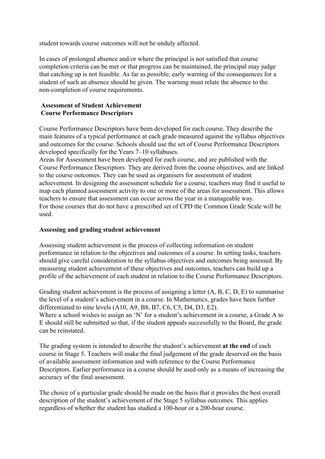student towards course outcomes will not be unduly affected.

In cases of prolonged absence and/or where the principal is not satisfied that course completion criteria can be met or that progress can be maintained, the principal may judge that catching up is not feasible. As far as possible, early warning of the consequences for a student of such an absence should be given. The warning must relate the absence to the non-completion of course requirements.

# **Assessment of Student Achievement Course Performance Descriptors**

Course Performance Descriptors have been developed for each course. They describe the main features of a typical performance at each grade measured against the syllabus objectives and outcomes for the course. Schools should use the set of Course Performance Descriptors developed specifically for the Years 7–10 syllabuses.

Areas for Assessment have been developed for each course, and are published with the Course Performance Descriptors. They are derived from the course objectives, and are linked to the course outcomes. They can be used as organisers for assessment of student achievement. In designing the assessment schedule for a course, teachers may find it useful to map each planned assessment activity to one or more of the areas for assessment. This allows teachers to ensure that assessment can occur across the year in a manageable way. For those courses that do not have a prescribed set of CPD the Common Grade Scale will be used.

#### **Assessing and grading student achievement**

Assessing student achievement is the process of collecting information on student performance in relation to the objectives and outcomes of a course. In setting tasks, teachers should give careful consideration to the syllabus objectives and outcomes being assessed. By measuring student achievement of these objectives and outcomes, teachers can build up a profile of the achievement of each student in relation to the Course Performance Descriptors.

Grading student achievement is the process of assigning a letter (A, B, C, D, E) to summarise the level of a student's achievement in a course. In Mathematics, grades have been further differentiated to nine levels (A10, A9, B8, B7, C6, C5, D4, D3, E2). Where a school wishes to assign an 'N' for a student's achievement in a course, a Grade A to E should still be submitted so that, if the student appeals successfully to the Board, the grade can be reinstated.

The grading system is intended to describe the student's achievement **at the end** of each course in Stage 5. Teachers will make the final judgement of the grade deserved on the basis of available assessment information and with reference to the Course Performance Descriptors. Earlier performance in a course should be used only as a means of increasing the accuracy of the final assessment.

The choice of a particular grade should be made on the basis that it provides the best overall description of the student's achievement of the Stage 5 syllabus outcomes. This applies regardless of whether the student has studied a 100-hour or a 200-hour course.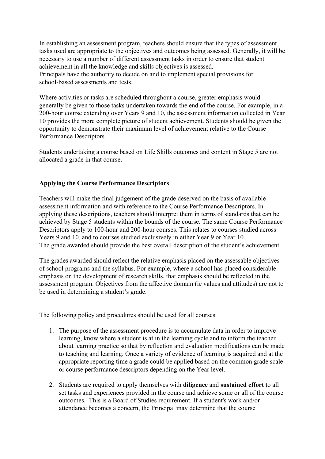In establishing an assessment program, teachers should ensure that the types of assessment tasks used are appropriate to the objectives and outcomes being assessed. Generally, it will be necessary to use a number of different assessment tasks in order to ensure that student achievement in all the knowledge and skills objectives is assessed. Principals have the authority to decide on and to implement special provisions for school-based assessments and tests.

Where activities or tasks are scheduled throughout a course, greater emphasis would generally be given to those tasks undertaken towards the end of the course. For example, in a 200-hour course extending over Years 9 and 10, the assessment information collected in Year 10 provides the more complete picture of student achievement. Students should be given the opportunity to demonstrate their maximum level of achievement relative to the Course Performance Descriptors.

Students undertaking a course based on Life Skills outcomes and content in Stage 5 are not allocated a grade in that course.

# **Applying the Course Performance Descriptors**

Teachers will make the final judgement of the grade deserved on the basis of available assessment information and with reference to the Course Performance Descriptors. In applying these descriptions, teachers should interpret them in terms of standards that can be achieved by Stage 5 students within the bounds of the course. The same Course Performance Descriptors apply to 100-hour and 200-hour courses. This relates to courses studied across Years 9 and 10, and to courses studied exclusively in either Year 9 or Year 10. The grade awarded should provide the best overall description of the student's achievement.

The grades awarded should reflect the relative emphasis placed on the assessable objectives of school programs and the syllabus. For example, where a school has placed considerable emphasis on the development of research skills, that emphasis should be reflected in the assessment program. Objectives from the affective domain (ie values and attitudes) are not to be used in determining a student's grade.

The following policy and procedures should be used for all courses.

- 1. The purpose of the assessment procedure is to accumulate data in order to improve learning, know where a student is at in the learning cycle and to inform the teacher about learning practice so that by reflection and evaluation modifications can be made to teaching and learning. Once a variety of evidence of learning is acquired and at the appropriate reporting time a grade could be applied based on the common grade scale or course performance descriptors depending on the Year level.
- 2. Students are required to apply themselves with **diligence** and **sustained effort** to all set tasks and experiences provided in the course and achieve some or all of the course outcomes. This is a Board of Studies requirement. If a student's work and/or attendance becomes a concern, the Principal may determine that the course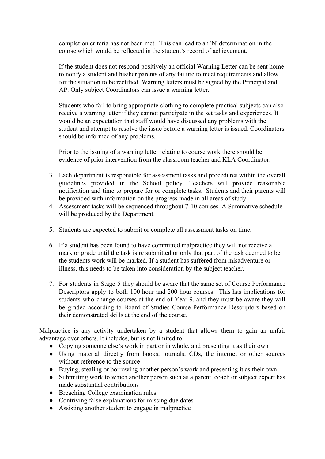completion criteria has not been met. This can lead to an 'N' determination in the course which would be reflected in the student's record of achievement.

If the student does not respond positively an official Warning Letter can be sent home to notify a student and his/her parents of any failure to meet requirements and allow for the situation to be rectified. Warning letters must be signed by the Principal and AP. Only subject Coordinators can issue a warning letter.

Students who fail to bring appropriate clothing to complete practical subjects can also receive a warning letter if they cannot participate in the set tasks and experiences. It would be an expectation that staff would have discussed any problems with the student and attempt to resolve the issue before a warning letter is issued. Coordinators should be informed of any problems.

Prior to the issuing of a warning letter relating to course work there should be evidence of prior intervention from the classroom teacher and KLA Coordinator.

- 3. Each department is responsible for assessment tasks and procedures within the overall guidelines provided in the School policy. Teachers will provide reasonable notification and time to prepare for or complete tasks. Students and their parents will be provided with information on the progress made in all areas of study.
- 4. Assessment tasks will be sequenced throughout 7-10 courses. A Summative schedule will be produced by the Department.
- 5. Students are expected to submit or complete all assessment tasks on time.
- 6. If a student has been found to have committed malpractice they will not receive a mark or grade until the task is re submitted or only that part of the task deemed to be the students work will be marked. If a student has suffered from misadventure or illness, this needs to be taken into consideration by the subject teacher.
- 7. For students in Stage 5 they should be aware that the same set of Course Performance Descriptors apply to both 100 hour and 200 hour courses. This has implications for students who change courses at the end of Year 9, and they must be aware they will be graded according to Board of Studies Course Performance Descriptors based on their demonstrated skills at the end of the course.

Malpractice is any activity undertaken by a student that allows them to gain an unfair advantage over others. It includes, but is not limited to:

- Copying someone else's work in part or in whole, and presenting it as their own
- Using material directly from books, journals, CDs, the internet or other sources without reference to the source
- Buying, stealing or borrowing another person's work and presenting it as their own
- Submitting work to which another person such as a parent, coach or subject expert has made substantial contributions
- Breaching College examination rules
- Contriving false explanations for missing due dates
- Assisting another student to engage in malpractice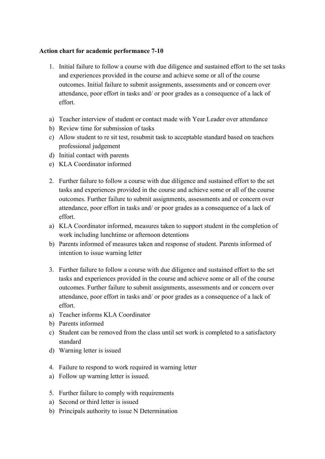### **Action chart for academic performance 7-10**

- 1. Initial failure to follow a course with due diligence and sustained effort to the set tasks and experiences provided in the course and achieve some or all of the course outcomes. Initial failure to submit assignments, assessments and or concern over attendance, poor effort in tasks and/ or poor grades as a consequence of a lack of effort.
- a) Teacher interview of student or contact made with Year Leader over attendance
- b) Review time for submission of tasks
- c) Allow student to re sit test, resubmit task to acceptable standard based on teachers professional judgement
- d) Initial contact with parents
- e) KLA Coordinator informed
- 2. Further failure to follow a course with due diligence and sustained effort to the set tasks and experiences provided in the course and achieve some or all of the course outcomes. Further failure to submit assignments, assessments and or concern over attendance, poor effort in tasks and/ or poor grades as a consequence of a lack of effort.
- a) KLA Coordinator informed, measures taken to support student in the completion of work including lunchtime or afternoon detentions
- b) Parents informed of measures taken and response of student. Parents informed of intention to issue warning letter
- 3. Further failure to follow a course with due diligence and sustained effort to the set tasks and experiences provided in the course and achieve some or all of the course outcomes. Further failure to submit assignments, assessments and or concern over attendance, poor effort in tasks and/ or poor grades as a consequence of a lack of effort.
- a) Teacher informs KLA Coordinator
- b) Parents informed
- c) Student can be removed from the class until set work is completed to a satisfactory standard
- d) Warning letter is issued
- 4. Failure to respond to work required in warning letter
- a) Follow up warning letter is issued.
- 5. Further failure to comply with requirements
- a) Second or third letter is issued
- b) Principals authority to issue N Determination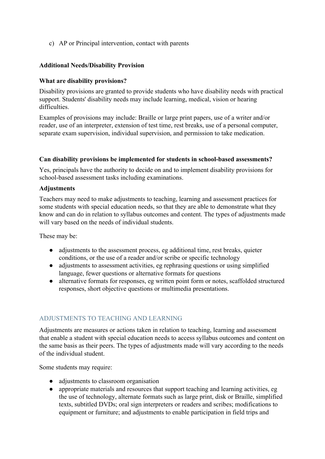c) AP or Principal intervention, contact with parents

## **Additional Needs/Disability Provision**

#### **What are disability provisions?**

Disability provisions are granted to provide students who have disability needs with practical support. Students' disability needs may include learning, medical, vision or hearing difficulties.

Examples of provisions may include: Braille or large print papers, use of a writer and/or reader, use of an interpreter, extension of test time, rest breaks, use of a personal computer, separate exam supervision, individual supervision, and permission to take medication.

#### **Can disability provisions be implemented for students in school-based assessments?**

Yes, principals have the authority to decide on and to implement disability provisions for school-based assessment tasks including examinations.

#### **Adjustments**

Teachers may need to make adjustments to teaching, learning and assessment practices for some students with special education needs, so that they are able to demonstrate what they know and can do in relation to syllabus outcomes and content. The types of adjustments made will vary based on the needs of individual students.

These may be:

- adjustments to the assessment process, eg additional time, rest breaks, quieter conditions, or the use of a reader and/or scribe or specific technology
- adjustments to assessment activities, eg rephrasing questions or using simplified language, fewer questions or alternative formats for questions
- alternative formats for responses, eg written point form or notes, scaffolded structured responses, short objective questions or multimedia presentations.

# ADJUSTMENTS TO TEACHING AND LEARNING

Adjustments are measures or actions taken in relation to teaching, learning and assessment that enable a student with special education needs to access syllabus outcomes and content on the same basis as their peers. The types of adjustments made will vary according to the needs of the individual student.

Some students may require:

- adjustments to classroom organisation
- appropriate materials and resources that support teaching and learning activities, eg the use of technology, alternate formats such as large print, disk or Braille, simplified texts, subtitled DVDs; oral sign interpreters or readers and scribes; modifications to equipment or furniture; and adjustments to enable participation in field trips and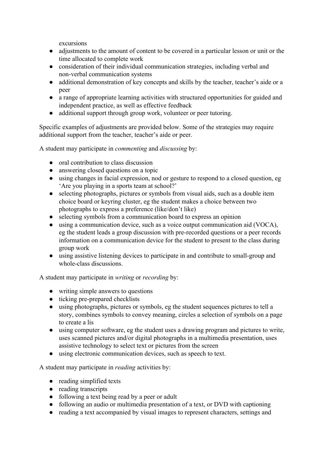excursions

- adjustments to the amount of content to be covered in a particular lesson or unit or the time allocated to complete work
- consideration of their individual communication strategies, including verbal and non-verbal communication systems
- additional demonstration of key concepts and skills by the teacher, teacher's aide or a peer
- a range of appropriate learning activities with structured opportunities for guided and independent practice, as well as effective feedback
- additional support through group work, volunteer or peer tutoring.

Specific examples of adjustments are provided below. Some of the strategies may require additional support from the teacher, teacher's aide or peer.

A student may participate in *commenting* and *discussing* by:

- oral contribution to class discussion
- answering closed questions on a topic
- using changes in facial expression, nod or gesture to respond to a closed question, eg 'Are you playing in a sports team at school?'
- selecting photographs, pictures or symbols from visual aids, such as a double item choice board or keyring cluster, eg the student makes a choice between two photographs to express a preference (like/don't like)
- selecting symbols from a communication board to express an opinion
- using a communication device, such as a voice output communication aid (VOCA), eg the student leads a group discussion with pre-recorded questions or a peer records information on a communication device for the student to present to the class during group work
- using assistive listening devices to participate in and contribute to small-group and whole-class discussions.

A student may participate in *writing* or *recording* by:

- writing simple answers to questions
- ticking pre-prepared checklists
- using photographs, pictures or symbols, eg the student sequences pictures to tell a story, combines symbols to convey meaning, circles a selection of symbols on a page to create a lis
- using computer software, eg the student uses a drawing program and pictures to write, uses scanned pictures and/or digital photographs in a multimedia presentation, uses assistive technology to select text or pictures from the screen
- using electronic communication devices, such as speech to text.

A student may participate in *reading* activities by:

- reading simplified texts
- reading transcripts
- following a text being read by a peer or adult
- following an audio or multimedia presentation of a text, or DVD with captioning
- reading a text accompanied by visual images to represent characters, settings and